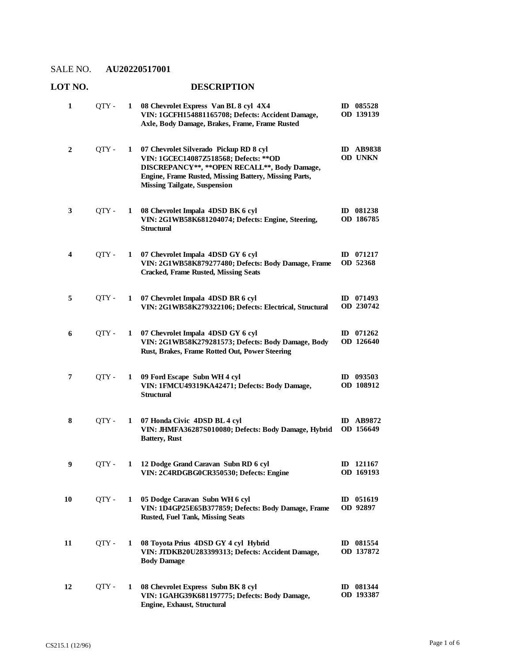### **LOT NO. DESCRIPTION**

| 1                | QTY - | 1 | 08 Chevrolet Express Van BL 8 cyl 4X4<br>VIN: 1GCFH154881165708; Defects: Accident Damage,<br>Axle, Body Damage, Brakes, Frame, Frame Rusted                                                                                      | ID 085528<br>OD 139139        |
|------------------|-------|---|-----------------------------------------------------------------------------------------------------------------------------------------------------------------------------------------------------------------------------------|-------------------------------|
| $\boldsymbol{2}$ | QTY - | 1 | 07 Chevrolet Silverado Pickup RD 8 cyl<br>VIN: 1GCEC14087Z518568; Defects: ** OD<br>DISCREPANCY**, ** OPEN RECALL**, Body Damage,<br>Engine, Frame Rusted, Missing Battery, Missing Parts,<br><b>Missing Tailgate, Suspension</b> | <b>ID AB9838</b><br>OD UNKN   |
| 3                | QTY - | 1 | 08 Chevrolet Impala 4DSD BK 6 cyl<br>VIN: 2G1WB58K681204074; Defects: Engine, Steering,<br><b>Structural</b>                                                                                                                      | ID 081238<br>OD 186785        |
| 4                | QTY - | 1 | 07 Chevrolet Impala 4DSD GY 6 cyl<br>VIN: 2G1WB58K879277480; Defects: Body Damage, Frame<br><b>Cracked, Frame Rusted, Missing Seats</b>                                                                                           | ID $071217$<br>OD 52368       |
| 5                | QTY - | 1 | 07 Chevrolet Impala 4DSD BR 6 cyl<br>VIN: 2G1WB58K279322106; Defects: Electrical, Structural                                                                                                                                      | ID 071493<br>OD 230742        |
| 6                | OTY - | 1 | 07 Chevrolet Impala 4DSD GY 6 cyl<br>VIN: 2G1WB58K279281573; Defects: Body Damage, Body<br>Rust, Brakes, Frame Rotted Out, Power Steering                                                                                         | ID $071262$<br>OD 126640      |
| 7                | QTY - | 1 | 09 Ford Escape Subn WH 4 cyl<br>VIN: 1FMCU49319KA42471; Defects: Body Damage,<br><b>Structural</b>                                                                                                                                | ID $093503$<br>OD 108912      |
| 8                | QTY - | 1 | 07 Honda Civic 4DSD BL 4 cyl<br>VIN: JHMFA36287S010080; Defects: Body Damage, Hybrid<br><b>Battery</b> , Rust                                                                                                                     | <b>ID AB9872</b><br>OD 156649 |
| 9                | OTY - | 1 | 12 Dodge Grand Caravan Subn RD 6 cyl<br>VIN: 2C4RDGBG0CR350530; Defects: Engine                                                                                                                                                   | ID 121167<br>OD 169193        |
| 10               | QTY - | 1 | 05 Dodge Caravan Subn WH 6 cyl<br>VIN: 1D4GP25E65B377859; Defects: Body Damage, Frame<br><b>Rusted, Fuel Tank, Missing Seats</b>                                                                                                  | ID 051619<br>OD 92897         |
| 11               | QTY - | 1 | 08 Toyota Prius 4DSD GY 4 cyl Hybrid<br>VIN: JTDKB20U283399313; Defects: Accident Damage,<br><b>Body Damage</b>                                                                                                                   | ID 081554<br>OD 137872        |
| 12               | QTY - | 1 | 08 Chevrolet Express Subn BK 8 cyl<br>VIN: 1GAHG39K681197775; Defects: Body Damage,<br>Engine, Exhaust, Structural                                                                                                                | ID 081344<br>OD 193387        |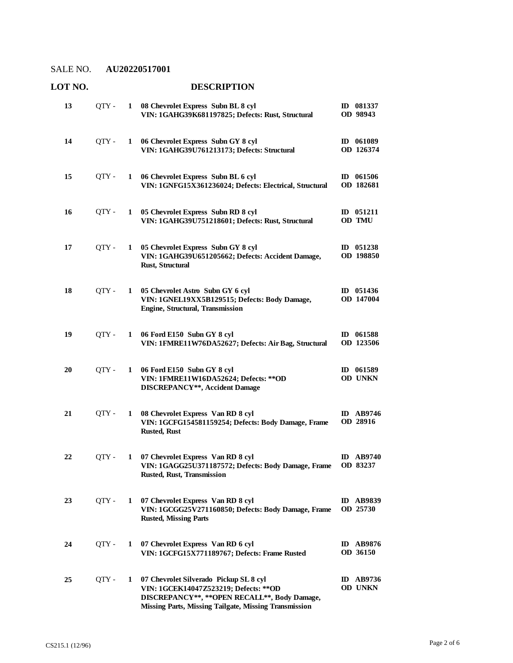# **LOT NO. DESCRIPTION**

| 13 | QTY - | 1 | 08 Chevrolet Express Subn BL 8 cyl<br>VIN: 1GAHG39K681197825; Defects: Rust, Structural                                                                                                    | ID 081337<br>OD 98943        |
|----|-------|---|--------------------------------------------------------------------------------------------------------------------------------------------------------------------------------------------|------------------------------|
| 14 | OTY - | 1 | 06 Chevrolet Express Subn GY 8 cyl<br>VIN: 1GAHG39U761213173; Defects: Structural                                                                                                          | ID 061089<br>OD 126374       |
| 15 | QTY - | 1 | 06 Chevrolet Express Subn BL 6 cyl<br>VIN: 1GNFG15X361236024; Defects: Electrical, Structural                                                                                              | ID 061506<br>OD 182681       |
| 16 | QTY - | 1 | 05 Chevrolet Express Subn RD 8 cyl<br>VIN: 1GAHG39U751218601; Defects: Rust, Structural                                                                                                    | $ID$ 051211<br>OD TMU        |
| 17 | QTY - | 1 | 05 Chevrolet Express Subn GY 8 cyl<br>VIN: 1GAHG39U651205662; Defects: Accident Damage,<br>Rust, Structural                                                                                | $ID$ 051238<br>OD 198850     |
| 18 | QTY - | 1 | 05 Chevrolet Astro Subn GY 6 cyl<br>VIN: 1GNEL19XX5B129515; Defects: Body Damage,<br>Engine, Structural, Transmission                                                                      | $ID$ 051436<br>OD 147004     |
| 19 | OTY - | 1 | 06 Ford E150 Subn GY 8 cyl<br>VIN: 1FMRE11W76DA52627; Defects: Air Bag, Structural                                                                                                         | ID 061588<br>OD 123506       |
| 20 | QTY - | 1 | 06 Ford E150 Subn GY 8 cyl<br>VIN: 1FMRE11W16DA52624; Defects: ** OD<br><b>DISCREPANCY**, Accident Damage</b>                                                                              | ID 061589<br>OD UNKN         |
| 21 | QTY - | 1 | 08 Chevrolet Express Van RD 8 cyl<br>VIN: 1GCFG154581159254; Defects: Body Damage, Frame<br><b>Rusted, Rust</b>                                                                            | <b>ID</b> AB9746<br>OD 28916 |
| 22 | OTY - | 1 | 07 Chevrolet Express Van RD 8 cyl<br>VIN: 1GAGG25U371187572; Defects: Body Damage, Frame<br><b>Rusted, Rust, Transmission</b>                                                              | <b>ID AB9740</b><br>OD 83237 |
| 23 | QTY - | 1 | 07 Chevrolet Express Van RD 8 cyl<br>VIN: 1GCGG25V271160850; Defects: Body Damage, Frame<br><b>Rusted, Missing Parts</b>                                                                   | <b>ID AB9839</b><br>OD 25730 |
| 24 | OTY - | 1 | 07 Chevrolet Express Van RD 6 cyl<br>VIN: 1GCFG15X771189767; Defects: Frame Rusted                                                                                                         | <b>ID AB9876</b><br>OD 36150 |
| 25 | QTY - | 1 | 07 Chevrolet Silverado Pickup SL 8 cyl<br>VIN: 1GCEK14047Z523219; Defects: ** OD<br>DISCREPANCY**, ** OPEN RECALL**, Body Damage,<br>Missing Parts, Missing Tailgate, Missing Transmission | <b>ID</b> AB9736<br>OD UNKN  |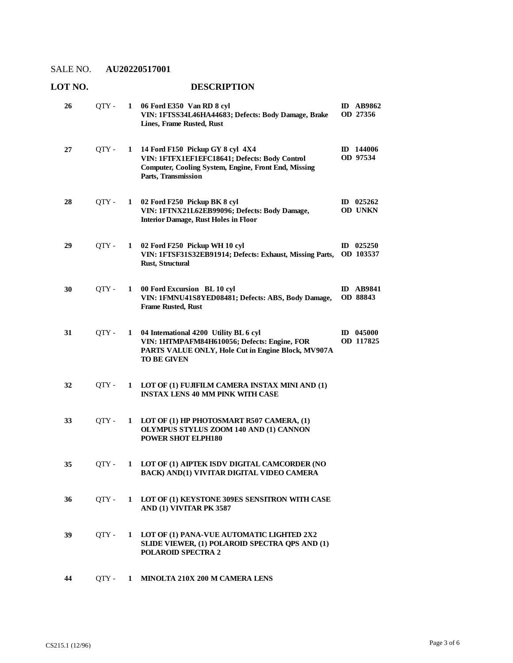# **LOT NO. DESCRIPTION**

| 26 | QTY - | 1            | 06 Ford E350 Van RD 8 cyl<br>VIN: 1FTSS34L46HA44683; Defects: Body Damage, Brake<br>Lines, Frame Rusted, Rust                                                      | <b>ID AB9862</b><br>OD 27356 |
|----|-------|--------------|--------------------------------------------------------------------------------------------------------------------------------------------------------------------|------------------------------|
| 27 | QTY-  | 1            | 14 Ford F150 Pickup GY 8 cyl 4X4<br>VIN: 1FTFX1EF1EFC18641; Defects: Body Control<br>Computer, Cooling System, Engine, Front End, Missing<br>Parts, Transmission   | ID 144006<br>OD 97534        |
| 28 | QTY - | 1            | 02 Ford F250 Pickup BK 8 cyl<br>VIN: 1FTNX21L62EB99096; Defects: Body Damage,<br><b>Interior Damage, Rust Holes in Floor</b>                                       | $ID$ 025262<br>OD UNKN       |
| 29 | QTY - | 1            | 02 Ford F250 Pickup WH 10 cyl<br>VIN: 1FTSF31S32EB91914; Defects: Exhaust, Missing Parts,<br><b>Rust, Structural</b>                                               | $ID$ 025250<br>OD 103537     |
| 30 | QTY - | $\mathbf{1}$ | 00 Ford Excursion BL 10 cyl<br>VIN: 1FMNU41S8YED08481; Defects: ABS, Body Damage,<br><b>Frame Rusted, Rust</b>                                                     | <b>ID AB9841</b><br>OD 88843 |
| 31 | QTY - | 1            | 04 International 4200 Utility BL 6 cyl<br>VIN: 1HTMPAFM84H610056; Defects: Engine, FOR<br>PARTS VALUE ONLY, Hole Cut in Engine Block, MV907A<br><b>TO BE GIVEN</b> | $ID$ 045000<br>OD 117825     |
| 32 | QTY - | 1            | LOT OF (1) FUJIFILM CAMERA INSTAX MINI AND (1)<br><b>INSTAX LENS 40 MM PINK WITH CASE</b>                                                                          |                              |
| 33 | QTY - | 1            | LOT OF (1) HP PHOTOSMART R507 CAMERA, (1)<br>OLYMPUS STYLUS ZOOM 140 AND (1) CANNON<br><b>POWER SHOT ELPH180</b>                                                   |                              |
| 35 | OTY - | 1            | LOT OF (1) AIPTEK ISDV DIGITAL CAMCORDER (NO<br><b>BACK) AND(1) VIVITAR DIGITAL VIDEO CAMERA</b>                                                                   |                              |
| 36 | OTY - | $\mathbf{1}$ | LOT OF (1) KEYSTONE 309ES SENSITRON WITH CASE<br>AND (1) VIVITAR PK 3587                                                                                           |                              |
| 39 | QTY - | 1            | LOT OF (1) PANA-VUE AUTOMATIC LIGHTED 2X2<br>SLIDE VIEWER, (1) POLAROID SPECTRA QPS AND (1)<br><b>POLAROID SPECTRA 2</b>                                           |                              |
| 44 | QTY - | $\mathbf{1}$ | MINOLTA 210X 200 M CAMERA LENS                                                                                                                                     |                              |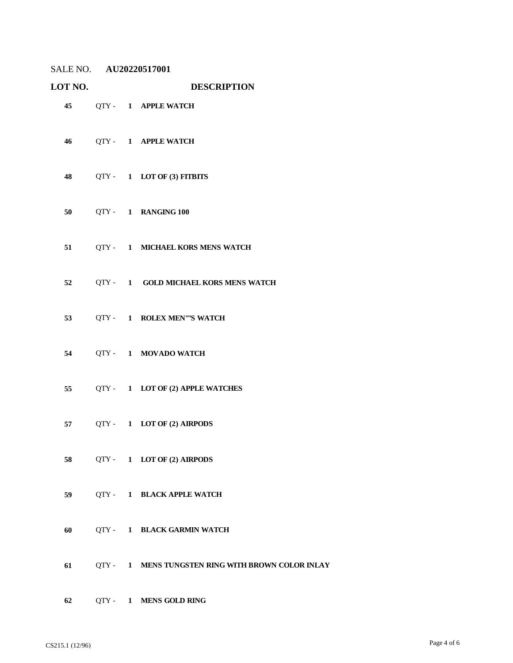| LOT NO. |  | <b>DESCRIPTION</b> |                                                      |  |  |
|---------|--|--------------------|------------------------------------------------------|--|--|
|         |  |                    | 45 QTY - 1 APPLE WATCH                               |  |  |
|         |  |                    | 46 QTY - 1 APPLE WATCH                               |  |  |
|         |  |                    | 48 QTY - 1 LOT OF (3) FITBITS                        |  |  |
|         |  |                    | 50 QTY - 1 RANGING 100                               |  |  |
|         |  |                    | 51 QTY - 1 MICHAEL KORS MENS WATCH                   |  |  |
|         |  |                    | 52 QTY - 1 GOLD MICHAEL KORS MENS WATCH              |  |  |
|         |  |                    | 53 QTY - 1 ROLEX MEN""S WATCH                        |  |  |
|         |  |                    | 54 QTY - 1 MOVADO WATCH                              |  |  |
|         |  |                    | 55 QTY - 1 LOT OF (2) APPLE WATCHES                  |  |  |
|         |  |                    | 57 $QTY - 1$ LOT OF (2) AIRPODS                      |  |  |
| 58 — 1  |  |                    | QTY- 1 LOT OF (2) AIRPODS                            |  |  |
| 59 — 10 |  |                    | QTY- 1 BLACK APPLE WATCH                             |  |  |
| 60      |  |                    | QTY- 1 BLACK GARMIN WATCH                            |  |  |
|         |  |                    | 61 QTY - 1 MENS TUNGSTEN RING WITH BROWN COLOR INLAY |  |  |
| 62      |  |                    | QTY- 1 MENS GOLD RING                                |  |  |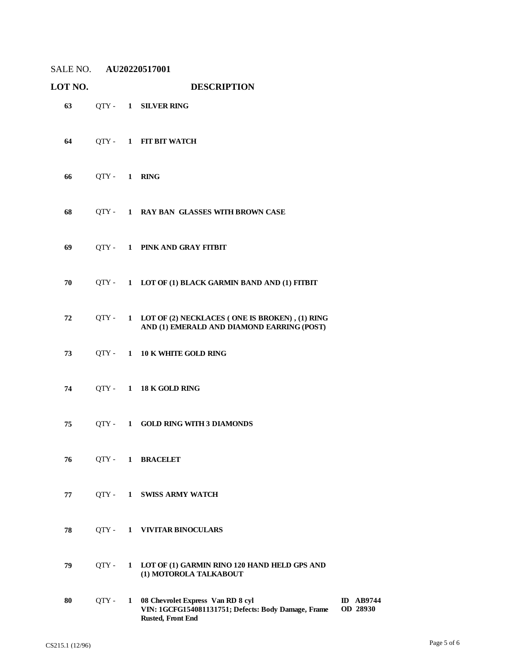| LOT NO. |             |   |                                                                                                               |                              |
|---------|-------------|---|---------------------------------------------------------------------------------------------------------------|------------------------------|
| 63      |             |   | QTY- 1 SILVER RING                                                                                            |                              |
| 64      | $QTY -$     |   | 1 FIT BIT WATCH                                                                                               |                              |
| 66      | QTY- 1 RING |   |                                                                                                               |                              |
| 68      | QTY -       |   | 1 RAY BAN GLASSES WITH BROWN CASE                                                                             |                              |
| 69      |             |   | QTY- 1 PINK AND GRAY FITBIT                                                                                   |                              |
| 70      | QTY -       |   | 1 LOT OF (1) BLACK GARMIN BAND AND (1) FITBIT                                                                 |                              |
| 72      | OTY -       |   | 1 LOT OF (2) NECKLACES (ONE IS BROKEN), (1) RING<br>AND (1) EMERALD AND DIAMOND EARRING (POST)                |                              |
| 73      | QTY -       |   | 1 10 K WHITE GOLD RING                                                                                        |                              |
| 74      |             |   | QTY- 1 18 K GOLD RING                                                                                         |                              |
| 75      |             |   | QTY - 1 GOLD RING WITH 3 DIAMONDS                                                                             |                              |
| 76      | QTY -       |   | 1 BRACELET                                                                                                    |                              |
| 77      | QTY -       | 1 | <b>SWISS ARMY WATCH</b>                                                                                       |                              |
| 78      | QTY -       |   | 1 VIVITAR BINOCULARS                                                                                          |                              |
| 79      | QTY -       | 1 | LOT OF (1) GARMIN RINO 120 HAND HELD GPS AND<br>(1) MOTOROLA TALKABOUT                                        |                              |
| 80      | QTY -       | 1 | 08 Chevrolet Express Van RD 8 cyl<br>VIN: 1GCFG154081131751; Defects: Body Damage, Frame<br>Rusted, Front End | <b>ID</b> AB9744<br>OD 28930 |